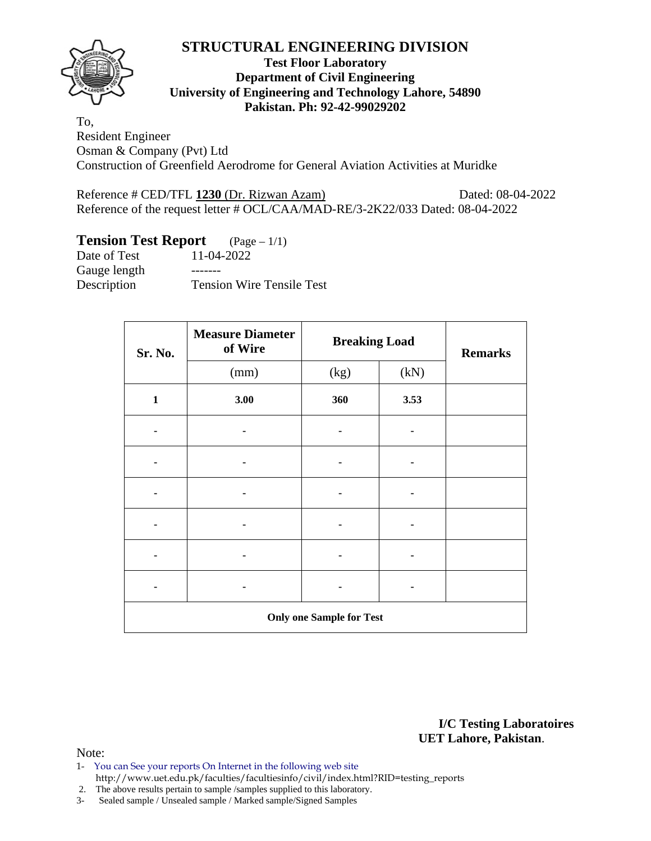

## **Test Floor Laboratory Department of Civil Engineering University of Engineering and Technology Lahore, 54890 Pakistan. Ph: 92-42-99029202**

To, Resident Engineer Osman & Company (Pvt) Ltd Construction of Greenfield Aerodrome for General Aviation Activities at Muridke

Reference # CED/TFL 1230 (Dr. Rizwan Azam) Dated: 08-04-2022 Reference of the request letter # OCL/CAA/MAD-RE/3-2K22/033 Dated: 08-04-2022

# **Tension Test Report** (Page – 1/1)

| Date of Test | 11-04-2022                       |
|--------------|----------------------------------|
| Gauge length |                                  |
| Description  | <b>Tension Wire Tensile Test</b> |

| Sr. No.      | <b>Measure Diameter</b><br>of Wire | <b>Breaking Load</b>            |      | <b>Remarks</b> |  |  |
|--------------|------------------------------------|---------------------------------|------|----------------|--|--|
|              | (mm)                               | (kg)                            | (kN) |                |  |  |
| $\mathbf{1}$ | 3.00                               | 360                             | 3.53 |                |  |  |
|              |                                    |                                 |      |                |  |  |
|              |                                    |                                 |      |                |  |  |
|              |                                    |                                 |      |                |  |  |
|              |                                    |                                 |      |                |  |  |
|              |                                    |                                 |      |                |  |  |
|              |                                    |                                 |      |                |  |  |
|              |                                    | <b>Only one Sample for Test</b> |      |                |  |  |

**I/C Testing Laboratoires UET Lahore, Pakistan**.

Note:

- 1- You can See your reports On Internet in the following web site http://www.uet.edu.pk/faculties/facultiesinfo/civil/index.html?RID=testing\_reports
- 2. The above results pertain to sample /samples supplied to this laboratory.
- 3- Sealed sample / Unsealed sample / Marked sample/Signed Samples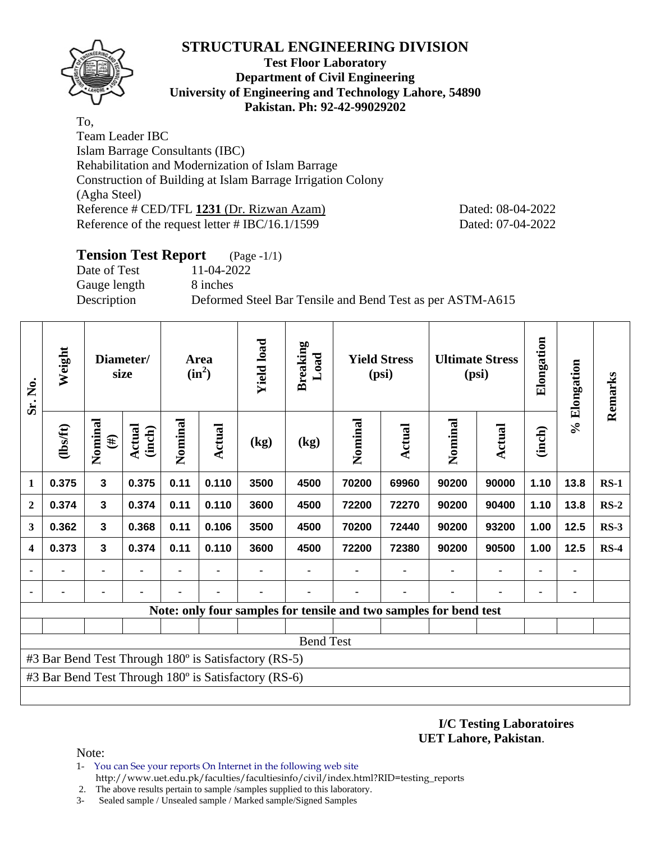

#### **Test Floor Laboratory Department of Civil Engineering University of Engineering and Technology Lahore, 54890 Pakistan. Ph: 92-42-99029202**

To, Team Leader IBC Islam Barrage Consultants (IBC) Rehabilitation and Modernization of Islam Barrage Construction of Building at Islam Barrage Irrigation Colony (Agha Steel) Reference # CED/TFL **1231** (Dr. Rizwan Azam) Dated: 08-04-2022 Reference of the request letter # IBC/16.1/1599 Dated: 07-04-2022

# **Tension Test Report** (Page -1/1) Date of Test 11-04-2022 Gauge length 8 inches Description Deformed Steel Bar Tensile and Bend Test as per ASTM-A615

| Sr. No.          | Weight         | size                    | Diameter/        | Area<br>$(in^2)$ |                | <b>Yield load</b>                                    | <b>Breaking</b><br>Load                                           | <b>Yield Stress</b><br>(psi) |        | <b>Ultimate Stress</b><br>(psi) |               | Elongation | % Elongation | Remarks |
|------------------|----------------|-------------------------|------------------|------------------|----------------|------------------------------------------------------|-------------------------------------------------------------------|------------------------------|--------|---------------------------------|---------------|------------|--------------|---------|
|                  | $\frac{2}{10}$ | Nominal<br>$(\#)$       | Actual<br>(inch) | Nominal          | Actual         | (kg)                                                 | (kg)                                                              | Nominal                      | Actual | Nominal                         | <b>Actual</b> | (inch)     |              |         |
| $\mathbf{1}$     | 0.375          | $\overline{\mathbf{3}}$ | 0.375            | 0.11             | 0.110          | 3500                                                 | 4500                                                              | 70200                        | 69960  | 90200                           | 90000         | 1.10       | 13.8         | $RS-1$  |
| $\mathbf{2}$     | 0.374          | $\overline{\mathbf{3}}$ | 0.374            | 0.11             | 0.110          | 3600                                                 | 4500                                                              | 72200                        | 72270  | 90200                           | 90400         | 1.10       | 13.8         | $RS-2$  |
| 3                | 0.362          | 3                       | 0.368            | 0.11             | 0.106          | 3500                                                 | 4500                                                              | 70200                        | 72440  | 90200                           | 93200         | 1.00       | 12.5         | $RS-3$  |
| $\boldsymbol{4}$ | 0.373          | $\mathbf{3}$            | 0.374            | 0.11             | 0.110          | 3600                                                 | 4500                                                              | 72200                        | 72380  | 90200                           | 90500         | 1.00       | 12.5         | $RS-4$  |
| ٠                | ۰              | ۰                       | ۰                |                  | $\blacksquare$ | $\blacksquare$                                       | ٠                                                                 | ٠                            | ٠      | ٠                               |               | ۰          | ٠            |         |
|                  | ۰              |                         | ۰                |                  |                |                                                      | ۰                                                                 |                              | ۰      | ٠                               |               | ۰          | ٠            |         |
|                  |                |                         |                  |                  |                |                                                      | Note: only four samples for tensile and two samples for bend test |                              |        |                                 |               |            |              |         |
|                  |                |                         |                  |                  |                |                                                      |                                                                   |                              |        |                                 |               |            |              |         |
|                  |                |                         |                  |                  |                |                                                      | <b>Bend Test</b>                                                  |                              |        |                                 |               |            |              |         |
|                  |                |                         |                  |                  |                | #3 Bar Bend Test Through 180° is Satisfactory (RS-5) |                                                                   |                              |        |                                 |               |            |              |         |
|                  |                |                         |                  |                  |                | #3 Bar Bend Test Through 180° is Satisfactory (RS-6) |                                                                   |                              |        |                                 |               |            |              |         |
|                  |                |                         |                  |                  |                |                                                      |                                                                   |                              |        |                                 |               |            |              |         |

**I/C Testing Laboratoires UET Lahore, Pakistan**.

#### Note:

- 1- You can See your reports On Internet in the following web site http://www.uet.edu.pk/faculties/facultiesinfo/civil/index.html?RID=testing\_reports
- 2. The above results pertain to sample /samples supplied to this laboratory.
- 3- Sealed sample / Unsealed sample / Marked sample/Signed Samples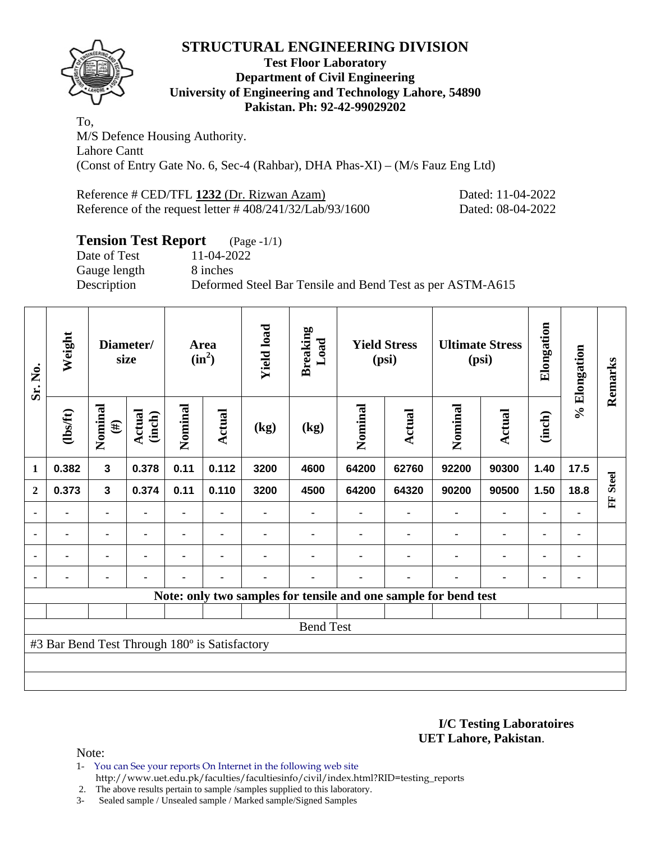

### **Test Floor Laboratory Department of Civil Engineering University of Engineering and Technology Lahore, 54890 Pakistan. Ph: 92-42-99029202**

To, M/S Defence Housing Authority. Lahore Cantt (Const of Entry Gate No. 6, Sec-4 (Rahbar), DHA Phas-XI) – (M/s Fauz Eng Ltd)

Reference # CED/TFL 1232 (Dr. Rizwan Azam) Dated: 11-04-2022 Reference of the request letter # 408/241/32/Lab/93/1600 Dated: 08-04-2022

# **Tension Test Report** (Page -1/1)

Date of Test 11-04-2022 Gauge length 8 inches

Description Deformed Steel Bar Tensile and Bend Test as per ASTM-A615

| Sr. No.        | Weight                                        |                         | Diameter/<br>size |         | Area<br>$(in^2)$ | <b>Yield load</b> | <b>Breaking</b><br>Load | <b>Yield Stress</b><br>(psi) |        |                                                                 |                |        |                |                    |  |  |  |  | <b>Ultimate Stress</b><br>(psi) | Elongation | % Elongation | Remarks |
|----------------|-----------------------------------------------|-------------------------|-------------------|---------|------------------|-------------------|-------------------------|------------------------------|--------|-----------------------------------------------------------------|----------------|--------|----------------|--------------------|--|--|--|--|---------------------------------|------------|--------------|---------|
|                | $\frac{2}{10}$                                | Nominal<br>$(\#)$       | Actual<br>(inch)  | Nominal | <b>Actual</b>    | (kg)              | (kg)                    | Nominal                      | Actual | Nominal                                                         | <b>Actual</b>  | (inch) |                |                    |  |  |  |  |                                 |            |              |         |
| 1              | 0.382                                         | $\overline{\mathbf{3}}$ | 0.378             | 0.11    | 0.112            | 3200              | 4600                    | 64200                        | 62760  | 92200                                                           | 90300          | 1.40   | 17.5           |                    |  |  |  |  |                                 |            |              |         |
| $\mathbf{2}$   | 0.373                                         | $\mathbf{3}$            | 0.374             | 0.11    | 0.110            | 3200              | 4500                    | 64200                        | 64320  | 90200                                                           | 90500          | 1.50   | 18.8           | <b>Steel</b><br>EF |  |  |  |  |                                 |            |              |         |
|                |                                               | ۰                       |                   |         |                  |                   |                         |                              |        | ٠                                                               |                | ٠      |                |                    |  |  |  |  |                                 |            |              |         |
| ٠              | ۰                                             | $\blacksquare$          | $\blacksquare$    |         | ٠                |                   |                         |                              |        | ٠                                                               | ۰              |        | $\blacksquare$ |                    |  |  |  |  |                                 |            |              |         |
| $\blacksquare$ | $\blacksquare$                                | $\blacksquare$          | $\blacksquare$    |         |                  |                   |                         |                              | ۰      | ٠                                                               | $\blacksquare$ | ۰      |                |                    |  |  |  |  |                                 |            |              |         |
|                |                                               | $\blacksquare$          | ٠                 |         | ٠                |                   |                         |                              | ٠      | ٠                                                               | ۰              | ۰      | ٠              |                    |  |  |  |  |                                 |            |              |         |
|                |                                               |                         |                   |         |                  |                   |                         |                              |        | Note: only two samples for tensile and one sample for bend test |                |        |                |                    |  |  |  |  |                                 |            |              |         |
|                |                                               |                         |                   |         |                  |                   |                         |                              |        |                                                                 |                |        |                |                    |  |  |  |  |                                 |            |              |         |
|                | <b>Bend Test</b>                              |                         |                   |         |                  |                   |                         |                              |        |                                                                 |                |        |                |                    |  |  |  |  |                                 |            |              |         |
|                | #3 Bar Bend Test Through 180° is Satisfactory |                         |                   |         |                  |                   |                         |                              |        |                                                                 |                |        |                |                    |  |  |  |  |                                 |            |              |         |
|                |                                               |                         |                   |         |                  |                   |                         |                              |        |                                                                 |                |        |                |                    |  |  |  |  |                                 |            |              |         |
|                |                                               |                         |                   |         |                  |                   |                         |                              |        |                                                                 |                |        |                |                    |  |  |  |  |                                 |            |              |         |

**I/C Testing Laboratoires UET Lahore, Pakistan**.

Note:

1- You can See your reports On Internet in the following web site http://www.uet.edu.pk/faculties/facultiesinfo/civil/index.html?RID=testing\_reports

2. The above results pertain to sample /samples supplied to this laboratory.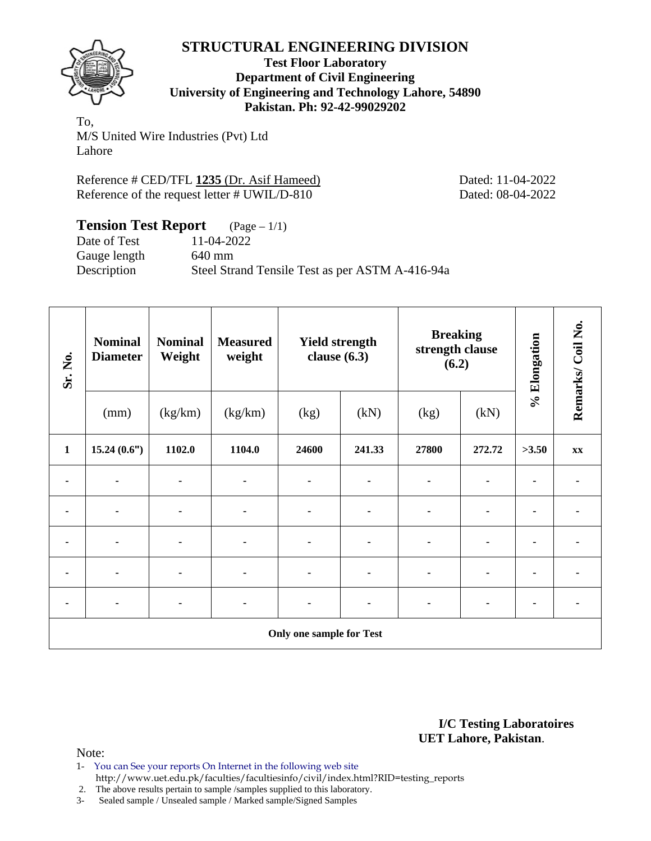

**Test Floor Laboratory Department of Civil Engineering University of Engineering and Technology Lahore, 54890 Pakistan. Ph: 92-42-99029202** 

To, M/S United Wire Industries (Pvt) Ltd Lahore

Reference # CED/TFL 1235 (Dr. Asif Hameed) Dated: 11-04-2022 Reference of the request letter # UWIL/D-810 Dated: 08-04-2022

## **Tension Test Report** (Page – 1/1) Date of Test 11-04-2022 Gauge length 640 mm Description Steel Strand Tensile Test as per ASTM A-416-94a

| Sr. No.        | <b>Nominal</b><br><b>Diameter</b> | <b>Nominal</b><br>Weight | <b>Measured</b><br>weight | <b>Yield strength</b><br>clause $(6.3)$ |                |                | <b>Breaking</b><br>strength clause<br>(6.2) | % Elongation | Remarks/Coil No. |  |  |  |
|----------------|-----------------------------------|--------------------------|---------------------------|-----------------------------------------|----------------|----------------|---------------------------------------------|--------------|------------------|--|--|--|
|                | (mm)                              | (kg/km)                  | (kg/km)                   | (kg)                                    | (kN)           | (kg)           | (kN)                                        |              |                  |  |  |  |
| $\mathbf{1}$   | 15.24(0.6")                       | 1102.0                   | 1104.0                    | 24600                                   | 241.33         | 27800          | 272.72                                      | >3.50        | XX               |  |  |  |
|                |                                   |                          |                           |                                         |                |                |                                             |              |                  |  |  |  |
| $\blacksquare$ |                                   |                          | ۰                         | $\blacksquare$                          | $\blacksquare$ | ä,             | ٠                                           |              |                  |  |  |  |
| ۰              |                                   |                          |                           |                                         | $\blacksquare$ | $\blacksquare$ | ٠                                           |              |                  |  |  |  |
|                |                                   |                          |                           |                                         | $\blacksquare$ | -              | $\blacksquare$                              |              |                  |  |  |  |
|                |                                   |                          | ٠                         |                                         |                |                | ٠                                           |              |                  |  |  |  |
|                | <b>Only one sample for Test</b>   |                          |                           |                                         |                |                |                                             |              |                  |  |  |  |

**I/C Testing Laboratoires UET Lahore, Pakistan**.

Note:

1- You can See your reports On Internet in the following web site http://www.uet.edu.pk/faculties/facultiesinfo/civil/index.html?RID=testing\_reports

2. The above results pertain to sample /samples supplied to this laboratory.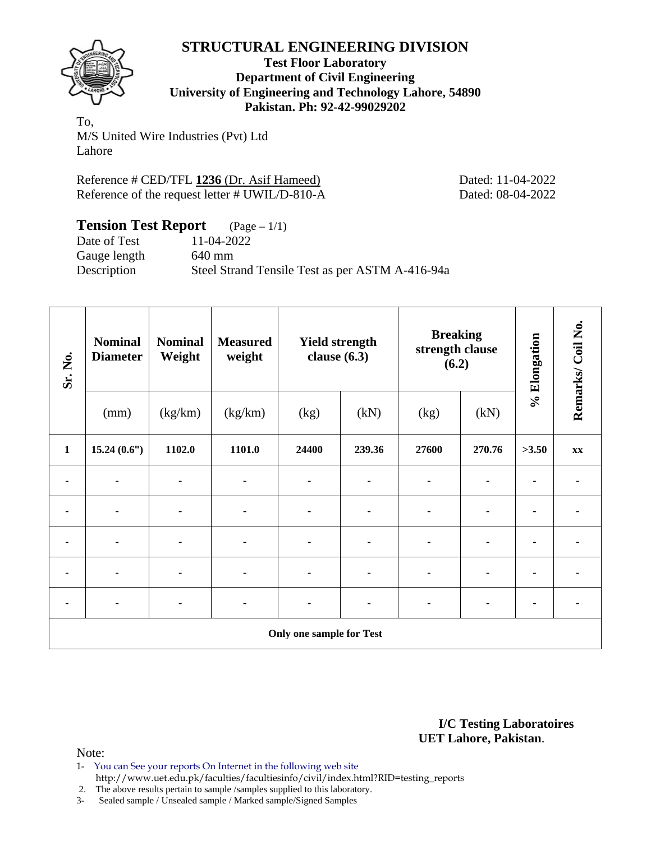

**Test Floor Laboratory Department of Civil Engineering University of Engineering and Technology Lahore, 54890 Pakistan. Ph: 92-42-99029202** 

To, M/S United Wire Industries (Pvt) Ltd Lahore

Reference # CED/TFL 1236 (Dr. Asif Hameed) Dated: 11-04-2022 Reference of the request letter # UWIL/D-810-A Dated: 08-04-2022

| <b>Tension Test Report</b> $(Page-1/1)$ |                                                 |
|-----------------------------------------|-------------------------------------------------|
| Date of Test                            | 11-04-2022                                      |
| Gauge length                            | 640 mm                                          |
| Description                             | Steel Strand Tensile Test as per ASTM A-416-94a |

| Sr. No.      | <b>Nominal</b><br><b>Diameter</b> | <b>Nominal</b><br>Weight | <b>Measured</b><br>weight | <b>Yield strength</b><br>clause $(6.3)$ |                | <b>Breaking</b><br>strength clause<br>(6.2) |                | % Elongation | Remarks/Coil No. |  |  |  |
|--------------|-----------------------------------|--------------------------|---------------------------|-----------------------------------------|----------------|---------------------------------------------|----------------|--------------|------------------|--|--|--|
|              | (mm)                              | (kg/km)                  | (kg/km)                   | (kg)                                    | (kN)           | (kg)                                        | (kN)           |              |                  |  |  |  |
| $\mathbf{1}$ | 15.24(0.6")                       | 1102.0                   | 1101.0                    | 24400                                   | 239.36         | 27600                                       | 270.76         | >3.50        | XX               |  |  |  |
|              |                                   |                          |                           |                                         |                | $\blacksquare$                              |                |              |                  |  |  |  |
|              | $\blacksquare$                    |                          | $\blacksquare$            |                                         | $\blacksquare$ | $\blacksquare$                              | $\blacksquare$ |              |                  |  |  |  |
| ٠            | $\blacksquare$                    |                          | ٠                         | $\blacksquare$                          | ۰              | ä,                                          | $\blacksquare$ |              |                  |  |  |  |
|              | ٠                                 |                          | ٠                         |                                         | $\blacksquare$ |                                             |                |              |                  |  |  |  |
|              | ٠                                 |                          |                           |                                         | ۰              |                                             | $\blacksquare$ |              |                  |  |  |  |
|              | <b>Only one sample for Test</b>   |                          |                           |                                         |                |                                             |                |              |                  |  |  |  |

**I/C Testing Laboratoires UET Lahore, Pakistan**.

Note:

1- You can See your reports On Internet in the following web site http://www.uet.edu.pk/faculties/facultiesinfo/civil/index.html?RID=testing\_reports

2. The above results pertain to sample /samples supplied to this laboratory.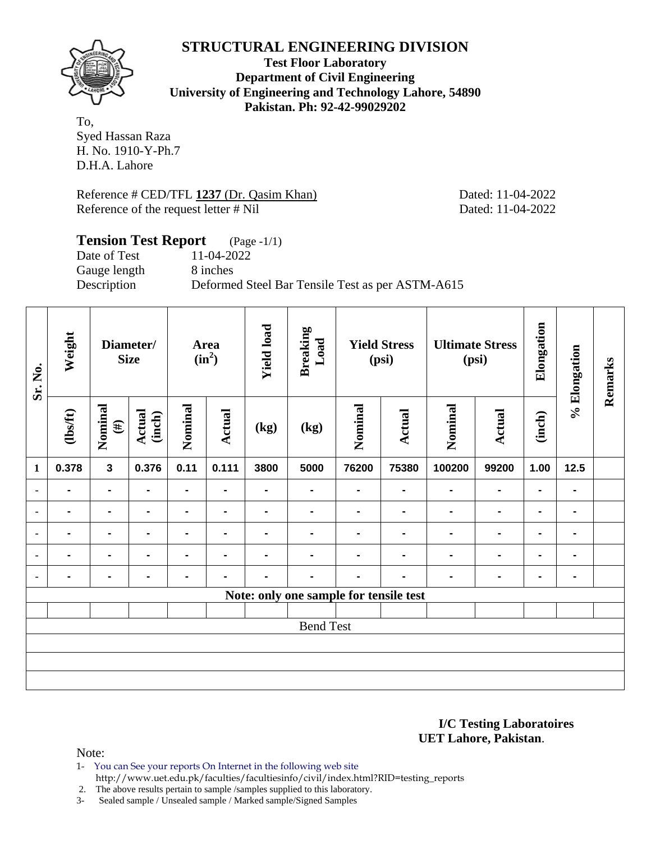

**Test Floor Laboratory Department of Civil Engineering University of Engineering and Technology Lahore, 54890 Pakistan. Ph: 92-42-99029202** 

To, Syed Hassan Raza H. No. 1910-Y-Ph.7 D.H.A. Lahore

Reference # CED/TFL 1237 (Dr. Qasim Khan) Dated: 11-04-2022 Reference of the request letter # Nil Dated: 11-04-2022

# **Tension Test Report** (Page -1/1)

Date of Test 11-04-2022 Gauge length 8 inches

Description Deformed Steel Bar Tensile Test as per ASTM-A615

| Sr. No.        | Weight         |                   | Diameter/<br><b>Size</b> |                | Area<br>$(in^2)$ | <b>Yield load</b> | <b>Breaking</b><br>Load                | <b>Yield Stress</b><br>(psi) |                | <b>Ultimate Stress</b><br>(psi) |                | Elongation     | % Elongation   | Remarks |
|----------------|----------------|-------------------|--------------------------|----------------|------------------|-------------------|----------------------------------------|------------------------------|----------------|---------------------------------|----------------|----------------|----------------|---------|
|                | $\frac{2}{10}$ | Nominal<br>$(\#)$ | Actual<br>(inch)         | Nominal        | <b>Actual</b>    | (kg)              | (kg)                                   | Nominal                      | Actual         | Nominal                         | Actual         | (inch)         |                |         |
| $\mathbf{1}$   | 0.378          | $\mathbf{3}$      | 0.376                    | 0.11           | 0.111            | 3800              | 5000                                   | 76200                        | 75380          | 100200                          | 99200          | 1.00           | 12.5           |         |
| ۰              |                |                   |                          |                | $\blacksquare$   |                   |                                        |                              |                |                                 |                |                | $\blacksquare$ |         |
| $\blacksquare$ | $\blacksquare$ |                   | $\blacksquare$           |                | $\blacksquare$   |                   |                                        | $\blacksquare$               | $\blacksquare$ |                                 | $\blacksquare$ | $\blacksquare$ | ۰              |         |
| $\blacksquare$ | $\blacksquare$ |                   | $\blacksquare$           |                | -                |                   |                                        |                              |                |                                 |                |                | $\blacksquare$ |         |
| ٠              | $\blacksquare$ | $\blacksquare$    | $\blacksquare$           | $\blacksquare$ | $\blacksquare$   |                   |                                        | $\blacksquare$               | $\blacksquare$ | $\blacksquare$                  | $\blacksquare$ | $\blacksquare$ | $\blacksquare$ |         |
| $\blacksquare$ | $\blacksquare$ | $\blacksquare$    | $\blacksquare$           |                |                  |                   |                                        |                              |                |                                 | -              | $\blacksquare$ | ۰              |         |
|                |                |                   |                          |                |                  |                   | Note: only one sample for tensile test |                              |                |                                 |                |                |                |         |
|                |                |                   |                          |                |                  |                   |                                        |                              |                |                                 |                |                |                |         |
|                |                |                   |                          |                |                  |                   | <b>Bend Test</b>                       |                              |                |                                 |                |                |                |         |
|                |                |                   |                          |                |                  |                   |                                        |                              |                |                                 |                |                |                |         |
|                |                |                   |                          |                |                  |                   |                                        |                              |                |                                 |                |                |                |         |
|                |                |                   |                          |                |                  |                   |                                        |                              |                |                                 |                |                |                |         |

**I/C Testing Laboratoires UET Lahore, Pakistan**.

Note:

- 1- You can See your reports On Internet in the following web site
	- http://www.uet.edu.pk/faculties/facultiesinfo/civil/index.html?RID=testing\_reports

2. The above results pertain to sample /samples supplied to this laboratory.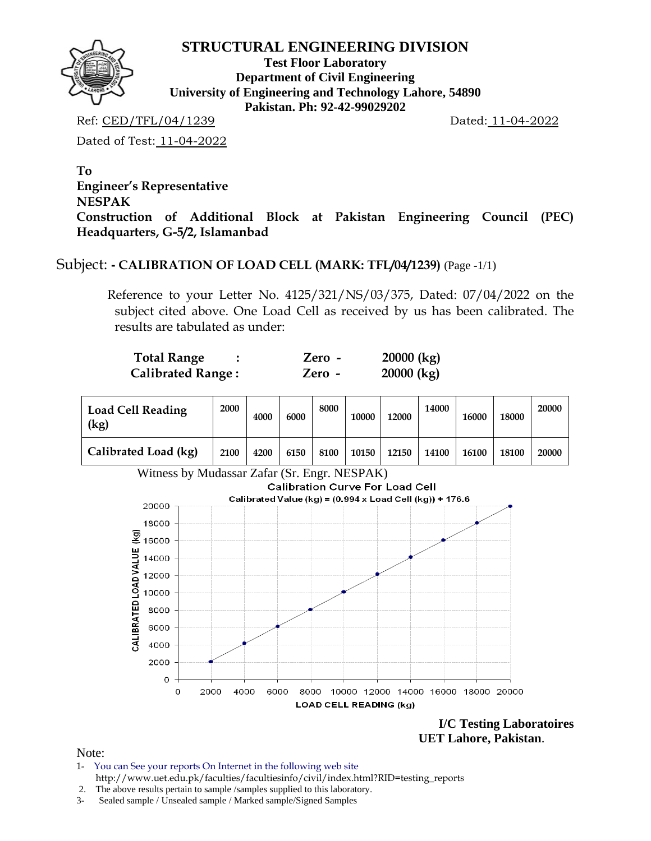

**Test Floor Laboratory Department of Civil Engineering University of Engineering and Technology Lahore, 54890 Pakistan. Ph: 92-42-99029202** 

Ref: CED/TFL/04/1239 Dated: 11-04-2022

Dated of Test: 11-04-2022

**To Engineer's Representative NESPAK Construction of Additional Block at Pakistan Engineering Council (PEC) Headquarters, G-5/2, Islamanbad** 

# Subject: **- CALIBRATION OF LOAD CELL (MARK: TFL/04/1239)** (Page -1/1)

Reference to your Letter No. 4125/321/NS/03/375, Dated: 07/04/2022 on the subject cited above. One Load Cell as received by us has been calibrated. The results are tabulated as under:

| Total Range              | Zero - | $20000$ (kg) |
|--------------------------|--------|--------------|
| <b>Calibrated Range:</b> | Zero - | $20000$ (kg) |

| <b>Load Cell Reading</b><br>(kg) | 2000 | 4000 | 6000 | 8000 | 10000 | 12000 | 14000 | 16000 | 18000 | 20000 |
|----------------------------------|------|------|------|------|-------|-------|-------|-------|-------|-------|
| Calibrated Load (kg)             | 2100 | 4200 | 6150 | 8100 | 10150 | 12150 | 14100 | 16100 | 18100 | 20000 |



**I/C Testing Laboratoires UET Lahore, Pakistan**.

Note:

- 1- You can See your reports On Internet in the following web site http://www.uet.edu.pk/faculties/facultiesinfo/civil/index.html?RID=testing\_reports
- 2. The above results pertain to sample /samples supplied to this laboratory.
- 3- Sealed sample / Unsealed sample / Marked sample/Signed Samples